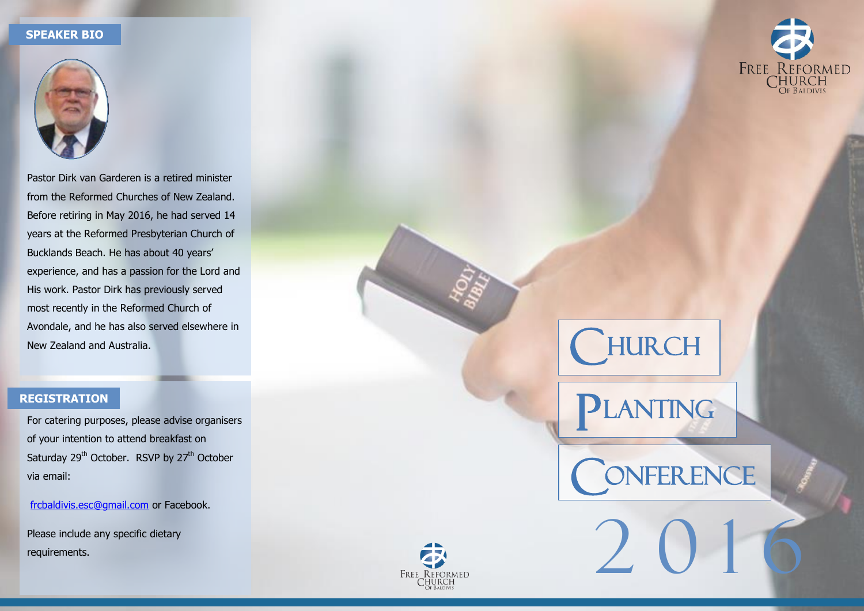#### **SPEAKER BIO**



Pastor Dirk van Garderen is a retired minister from the Reformed Churches of New Zealand. Before retiring in May 2016, he had served 14 years at the Reformed Presbyterian Church of Bucklands Beach. He has about 40 years' experience, and has a passion for the Lord and His work. Pastor Dirk has previously served most recently in the Reformed Church of Avondale, and he has also served elsewhere in New Zealand and Australia.

### **REGISTRATION**

For catering purposes, please advise organisers of your intention to attend breakfast on Saturday 29<sup>th</sup> October. RSVP by 27<sup>th</sup> October via email:

[frcbaldivis.esc@gmail.com](mailto:frcbaldivis.esc@gmail.com) or Facebook.

Please include any specific dietary requirements.





 $\overline{L}$ 

ANTING

2 0 1 6

NFERENCE